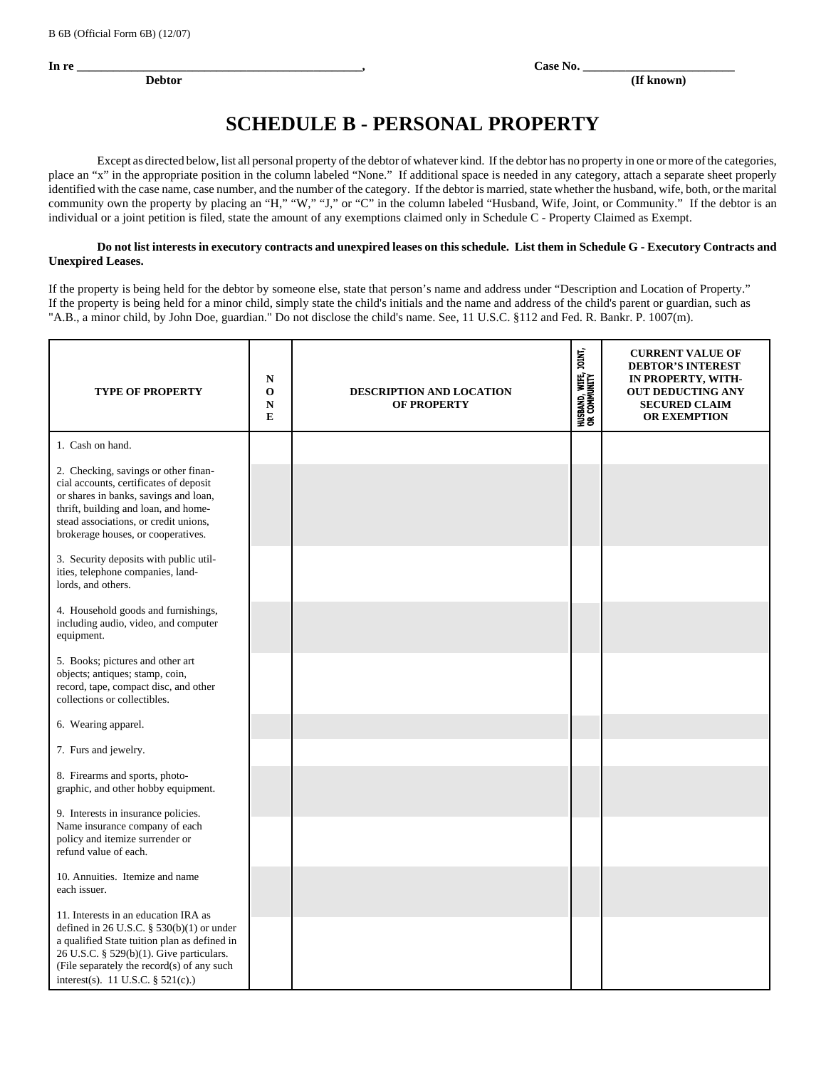**In re \_\_\_\_\_\_\_\_\_\_\_\_\_\_\_\_\_\_\_\_\_\_\_\_\_\_\_\_\_\_\_\_\_\_\_\_\_\_\_\_\_\_\_\_\_\_\_, Case No. \_\_\_\_\_\_\_\_\_\_\_\_\_\_\_\_\_\_\_\_\_\_\_\_\_**

**Debtor (If known)**

# **SCHEDULE B - PERSONAL PROPERTY**

Except as directed below, list all personal property of the debtor of whatever kind. If the debtor has no property in one or more of the categories, place an "x" in the appropriate position in the column labeled "None." If additional space is needed in any category, attach a separate sheet properly identified with the case name, case number, and the number of the category. If the debtor is married, state whether the husband, wife, both, or the marital community own the property by placing an "H," "W," "J," or "C" in the column labeled "Husband, Wife, Joint, or Community." If the debtor is an individual or a joint petition is filed, state the amount of any exemptions claimed only in Schedule C - Property Claimed as Exempt.

### **Do not list interests in executory contracts and unexpired leases on this schedule. List them in Schedule G - Executory Contracts and Unexpired Leases.**

If the property is being held for the debtor by someone else, state that person's name and address under "Description and Location of Property." If the property is being held for a minor child, simply state the child's initials and the name and address of the child's parent or guardian, such as "A.B., a minor child, by John Doe, guardian." Do not disclose the child's name. See, 11 U.S.C. §112 and Fed. R. Bankr. P. 1007(m).

| <b>TYPE OF PROPERTY</b>                                                                                                                                                                                                                                                | N<br>$\mathbf{o}$<br>N<br>E | <b>DESCRIPTION AND LOCATION</b><br><b>OF PROPERTY</b> | HUSBAND, WIFE, JOINT,<br>Or community | <b>CURRENT VALUE OF</b><br><b>DEBTOR'S INTEREST</b><br>IN PROPERTY, WITH-<br><b>OUT DEDUCTING ANY</b><br><b>SECURED CLAIM</b><br>OR EXEMPTION |
|------------------------------------------------------------------------------------------------------------------------------------------------------------------------------------------------------------------------------------------------------------------------|-----------------------------|-------------------------------------------------------|---------------------------------------|-----------------------------------------------------------------------------------------------------------------------------------------------|
| 1. Cash on hand.                                                                                                                                                                                                                                                       |                             |                                                       |                                       |                                                                                                                                               |
| 2. Checking, savings or other finan-<br>cial accounts, certificates of deposit<br>or shares in banks, savings and loan,<br>thrift, building and loan, and home-<br>stead associations, or credit unions,<br>brokerage houses, or cooperatives.                         |                             |                                                       |                                       |                                                                                                                                               |
| 3. Security deposits with public util-<br>ities, telephone companies, land-<br>lords, and others.                                                                                                                                                                      |                             |                                                       |                                       |                                                                                                                                               |
| 4. Household goods and furnishings,<br>including audio, video, and computer<br>equipment.                                                                                                                                                                              |                             |                                                       |                                       |                                                                                                                                               |
| 5. Books; pictures and other art<br>objects; antiques; stamp, coin,<br>record, tape, compact disc, and other<br>collections or collectibles.                                                                                                                           |                             |                                                       |                                       |                                                                                                                                               |
| 6. Wearing apparel.                                                                                                                                                                                                                                                    |                             |                                                       |                                       |                                                                                                                                               |
| 7. Furs and jewelry.                                                                                                                                                                                                                                                   |                             |                                                       |                                       |                                                                                                                                               |
| 8. Firearms and sports, photo-<br>graphic, and other hobby equipment.                                                                                                                                                                                                  |                             |                                                       |                                       |                                                                                                                                               |
| 9. Interests in insurance policies.<br>Name insurance company of each<br>policy and itemize surrender or<br>refund value of each.                                                                                                                                      |                             |                                                       |                                       |                                                                                                                                               |
| 10. Annuities. Itemize and name<br>each issuer.                                                                                                                                                                                                                        |                             |                                                       |                                       |                                                                                                                                               |
| 11. Interests in an education IRA as<br>defined in 26 U.S.C. $\S$ 530(b)(1) or under<br>a qualified State tuition plan as defined in<br>26 U.S.C. § 529(b)(1). Give particulars.<br>(File separately the record(s) of any such<br>interest(s). 11 U.S.C. $\S$ 521(c).) |                             |                                                       |                                       |                                                                                                                                               |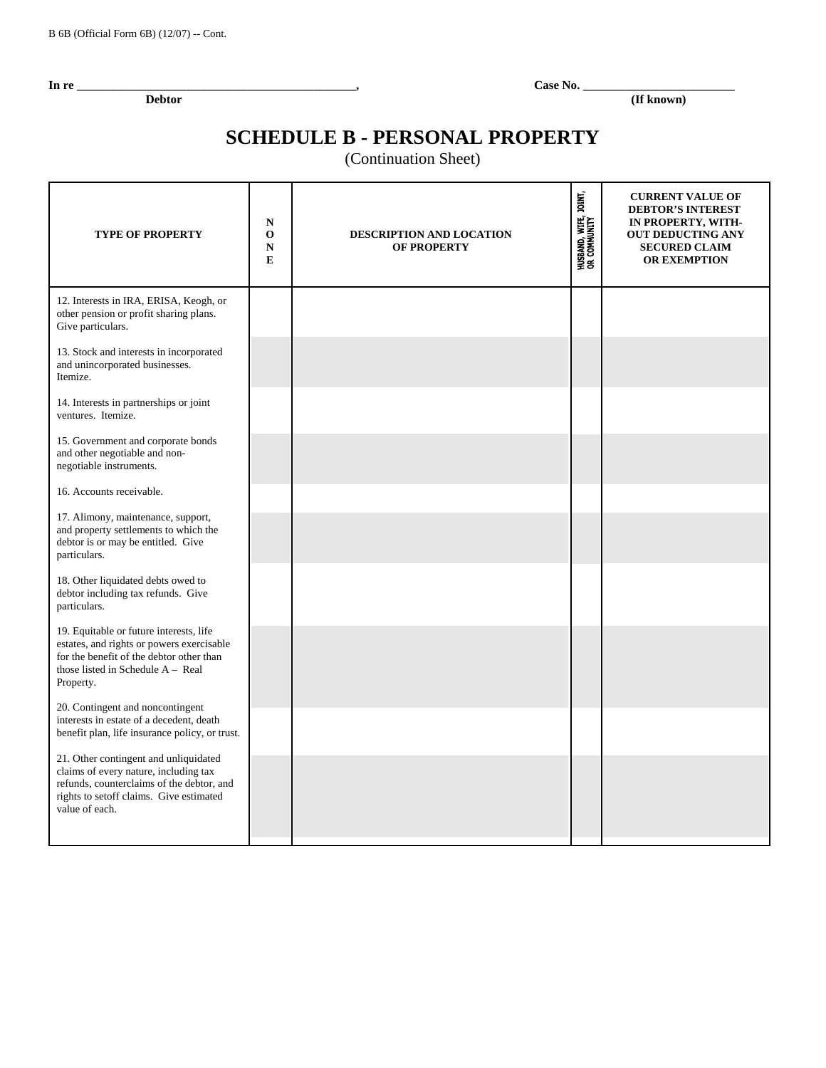**In re \_\_\_\_\_\_\_\_\_\_\_\_\_\_\_\_\_\_\_\_\_\_\_\_\_\_\_\_\_\_\_\_\_\_\_\_\_\_\_\_\_\_\_\_\_\_, Case No. \_\_\_\_\_\_\_\_\_\_\_\_\_\_\_\_\_\_\_\_\_\_\_\_\_**

**(If known)** 

# **SCHEDULE B - PERSONAL PROPERTY**

(Continuation Sheet)

| <b>TYPE OF PROPERTY</b>                                                                                                                                                                  | N<br>$\bf{0}$<br>$\mathbf N$<br>E | <b>DESCRIPTION AND LOCATION</b><br><b>OF PROPERTY</b> | HUSBAND, WIFE, JOINT,<br>Or community | <b>CURRENT VALUE OF</b><br><b>DEBTOR'S INTEREST</b><br>IN PROPERTY, WITH-<br><b>OUT DEDUCTING ANY</b><br><b>SECURED CLAIM</b><br><b>OR EXEMPTION</b> |
|------------------------------------------------------------------------------------------------------------------------------------------------------------------------------------------|-----------------------------------|-------------------------------------------------------|---------------------------------------|------------------------------------------------------------------------------------------------------------------------------------------------------|
| 12. Interests in IRA, ERISA, Keogh, or<br>other pension or profit sharing plans.<br>Give particulars.                                                                                    |                                   |                                                       |                                       |                                                                                                                                                      |
| 13. Stock and interests in incorporated<br>and unincorporated businesses.<br>Itemize.                                                                                                    |                                   |                                                       |                                       |                                                                                                                                                      |
| 14. Interests in partnerships or joint<br>ventures. Itemize.                                                                                                                             |                                   |                                                       |                                       |                                                                                                                                                      |
| 15. Government and corporate bonds<br>and other negotiable and non-<br>negotiable instruments.                                                                                           |                                   |                                                       |                                       |                                                                                                                                                      |
| 16. Accounts receivable.                                                                                                                                                                 |                                   |                                                       |                                       |                                                                                                                                                      |
| 17. Alimony, maintenance, support,<br>and property settlements to which the<br>debtor is or may be entitled. Give<br>particulars.                                                        |                                   |                                                       |                                       |                                                                                                                                                      |
| 18. Other liquidated debts owed to<br>debtor including tax refunds. Give<br>particulars.                                                                                                 |                                   |                                                       |                                       |                                                                                                                                                      |
| 19. Equitable or future interests, life<br>estates, and rights or powers exercisable<br>for the benefit of the debtor other than<br>those listed in Schedule A - Real<br>Property.       |                                   |                                                       |                                       |                                                                                                                                                      |
| 20. Contingent and noncontingent<br>interests in estate of a decedent, death<br>benefit plan, life insurance policy, or trust.                                                           |                                   |                                                       |                                       |                                                                                                                                                      |
| 21. Other contingent and unliquidated<br>claims of every nature, including tax<br>refunds, counterclaims of the debtor, and<br>rights to setoff claims. Give estimated<br>value of each. |                                   |                                                       |                                       |                                                                                                                                                      |
|                                                                                                                                                                                          |                                   |                                                       |                                       |                                                                                                                                                      |